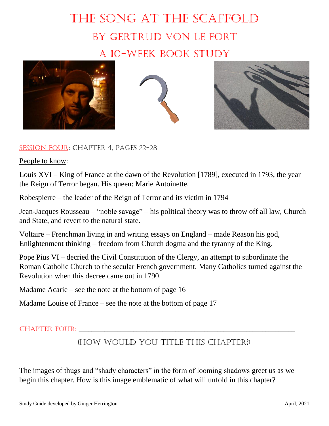## The Song at the Scaffold By Gertrud von Le Fort A 10-week book study







## Session Four: Chapter 4, pages 22-28

People to know:

Louis XVI – King of France at the dawn of the Revolution [1789], executed in 1793, the year the Reign of Terror began. His queen: Marie Antoinette.

Robespierre – the leader of the Reign of Terror and its victim in 1794

Jean-Jacques Rousseau – "noble savage" – his political theory was to throw off all law, Church and State, and revert to the natural state.

Voltaire – Frenchman living in and writing essays on England – made Reason his god, Enlightenment thinking – freedom from Church dogma and the tyranny of the King.

Pope Pius VI – decried the Civil Constitution of the Clergy, an attempt to subordinate the Roman Catholic Church to the secular French government. Many Catholics turned against the Revolution when this decree came out in 1790.

Madame Acarie – see the note at the bottom of page 16

Madame Louise of France – see the note at the bottom of page 17

## Chapter Four: \_\_\_\_\_\_\_\_\_\_\_\_\_\_\_\_\_\_\_\_\_\_\_\_\_\_\_\_\_\_\_\_\_\_\_\_\_\_\_\_\_\_\_\_\_\_\_\_\_\_\_\_\_\_\_\_\_\_\_\_\_\_\_\_\_\_\_

## (HOW WOULD YOU TITLE THIS CHAPTER?)

The images of thugs and "shady characters" in the form of looming shadows greet us as we begin this chapter. How is this image emblematic of what will unfold in this chapter?